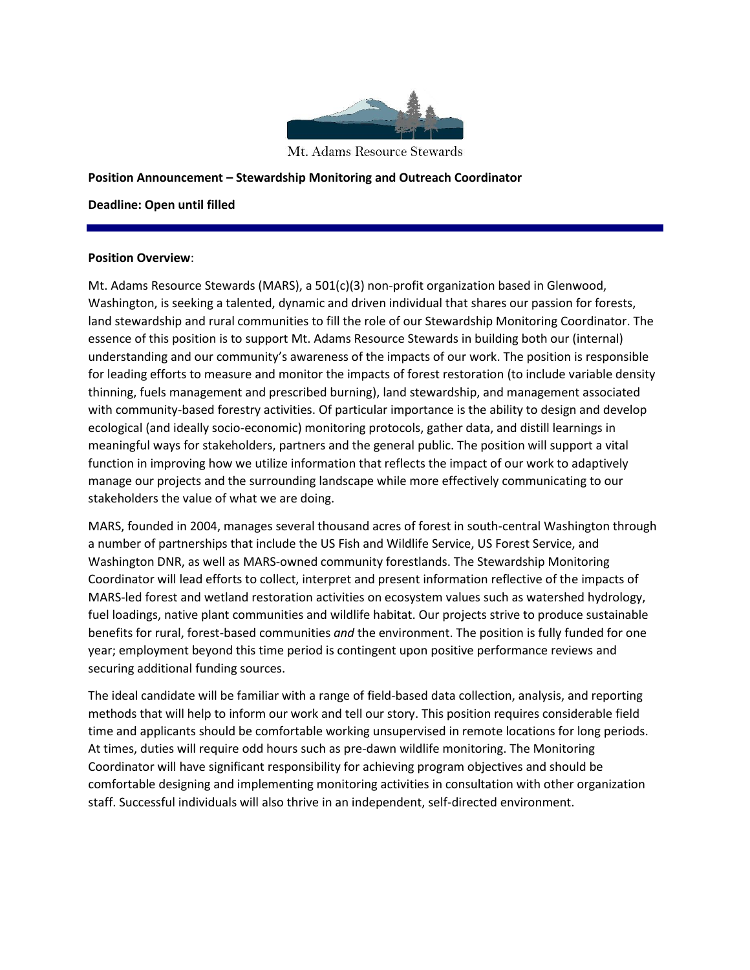

Mt. Adams Resource Stewards

### **Position Announcement – Stewardship Monitoring and Outreach Coordinator**

### **Deadline: Open until filled**

### **Position Overview**:

Mt. Adams Resource Stewards (MARS), a 501(c)(3) non-profit organization based in Glenwood, Washington, is seeking a talented, dynamic and driven individual that shares our passion for forests, land stewardship and rural communities to fill the role of our Stewardship Monitoring Coordinator. The essence of this position is to support Mt. Adams Resource Stewards in building both our (internal) understanding and our community's awareness of the impacts of our work. The position is responsible for leading efforts to measure and monitor the impacts of forest restoration (to include variable density thinning, fuels management and prescribed burning), land stewardship, and management associated with community-based forestry activities. Of particular importance is the ability to design and develop ecological (and ideally socio-economic) monitoring protocols, gather data, and distill learnings in meaningful ways for stakeholders, partners and the general public. The position will support a vital function in improving how we utilize information that reflects the impact of our work to adaptively manage our projects and the surrounding landscape while more effectively communicating to our stakeholders the value of what we are doing.

MARS, founded in 2004, manages several thousand acres of forest in south-central Washington through a number of partnerships that include the US Fish and Wildlife Service, US Forest Service, and Washington DNR, as well as MARS-owned community forestlands. The Stewardship Monitoring Coordinator will lead efforts to collect, interpret and present information reflective of the impacts of MARS-led forest and wetland restoration activities on ecosystem values such as watershed hydrology, fuel loadings, native plant communities and wildlife habitat. Our projects strive to produce sustainable benefits for rural, forest-based communities *and* the environment. The position is fully funded for one year; employment beyond this time period is contingent upon positive performance reviews and securing additional funding sources.

The ideal candidate will be familiar with a range of field-based data collection, analysis, and reporting methods that will help to inform our work and tell our story. This position requires considerable field time and applicants should be comfortable working unsupervised in remote locations for long periods. At times, duties will require odd hours such as pre-dawn wildlife monitoring. The Monitoring Coordinator will have significant responsibility for achieving program objectives and should be comfortable designing and implementing monitoring activities in consultation with other organization staff. Successful individuals will also thrive in an independent, self-directed environment.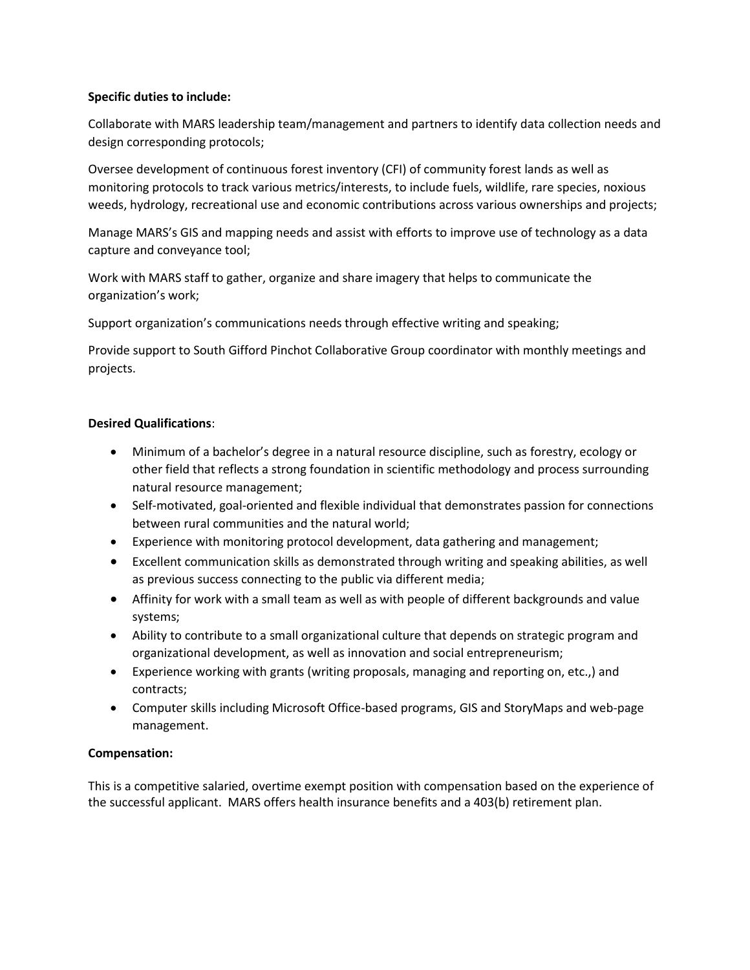## **Specific duties to include:**

Collaborate with MARS leadership team/management and partners to identify data collection needs and design corresponding protocols;

Oversee development of continuous forest inventory (CFI) of community forest lands as well as monitoring protocols to track various metrics/interests, to include fuels, wildlife, rare species, noxious weeds, hydrology, recreational use and economic contributions across various ownerships and projects;

Manage MARS's GIS and mapping needs and assist with efforts to improve use of technology as a data capture and conveyance tool;

Work with MARS staff to gather, organize and share imagery that helps to communicate the organization's work;

Support organization's communications needs through effective writing and speaking;

Provide support to South Gifford Pinchot Collaborative Group coordinator with monthly meetings and projects.

# **Desired Qualifications**:

- Minimum of a bachelor's degree in a natural resource discipline, such as forestry, ecology or other field that reflects a strong foundation in scientific methodology and process surrounding natural resource management;
- Self-motivated, goal-oriented and flexible individual that demonstrates passion for connections between rural communities and the natural world;
- Experience with monitoring protocol development, data gathering and management;
- Excellent communication skills as demonstrated through writing and speaking abilities, as well as previous success connecting to the public via different media;
- Affinity for work with a small team as well as with people of different backgrounds and value systems;
- Ability to contribute to a small organizational culture that depends on strategic program and organizational development, as well as innovation and social entrepreneurism;
- Experience working with grants (writing proposals, managing and reporting on, etc.,) and contracts;
- Computer skills including Microsoft Office-based programs, GIS and StoryMaps and web-page management.

# **Compensation:**

This is a competitive salaried, overtime exempt position with compensation based on the experience of the successful applicant. MARS offers health insurance benefits and a 403(b) retirement plan.